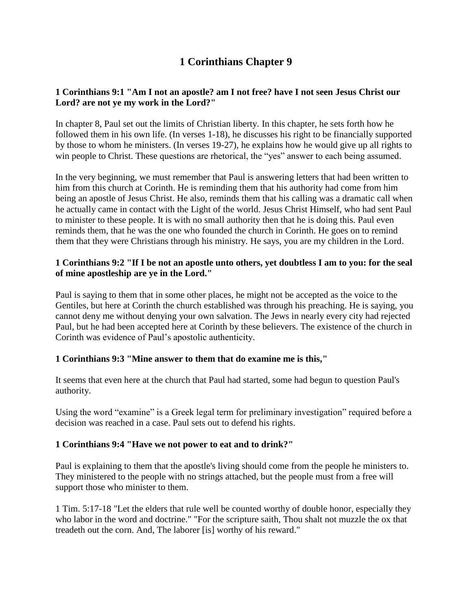# **1 Corinthians Chapter 9**

# **1 Corinthians 9:1 "Am I not an apostle? am I not free? have I not seen Jesus Christ our Lord? are not ye my work in the Lord?"**

In chapter 8, Paul set out the limits of Christian liberty. In this chapter, he sets forth how he followed them in his own life. (In verses 1-18), he discusses his right to be financially supported by those to whom he ministers. (In verses 19-27), he explains how he would give up all rights to win people to Christ. These questions are rhetorical, the "yes" answer to each being assumed.

In the very beginning, we must remember that Paul is answering letters that had been written to him from this church at Corinth. He is reminding them that his authority had come from him being an apostle of Jesus Christ. He also, reminds them that his calling was a dramatic call when he actually came in contact with the Light of the world. Jesus Christ Himself, who had sent Paul to minister to these people. It is with no small authority then that he is doing this. Paul even reminds them, that he was the one who founded the church in Corinth. He goes on to remind them that they were Christians through his ministry. He says, you are my children in the Lord.

# **1 Corinthians 9:2 "If I be not an apostle unto others, yet doubtless I am to you: for the seal of mine apostleship are ye in the Lord."**

Paul is saying to them that in some other places, he might not be accepted as the voice to the Gentiles, but here at Corinth the church established was through his preaching. He is saying, you cannot deny me without denying your own salvation. The Jews in nearly every city had rejected Paul, but he had been accepted here at Corinth by these believers. The existence of the church in Corinth was evidence of Paul's apostolic authenticity.

# **1 Corinthians 9:3 "Mine answer to them that do examine me is this,"**

It seems that even here at the church that Paul had started, some had begun to question Paul's authority.

Using the word "examine" is a Greek legal term for preliminary investigation" required before a decision was reached in a case. Paul sets out to defend his rights.

# **1 Corinthians 9:4 "Have we not power to eat and to drink?"**

Paul is explaining to them that the apostle's living should come from the people he ministers to. They ministered to the people with no strings attached, but the people must from a free will support those who minister to them.

1 Tim. 5:17-18 "Let the elders that rule well be counted worthy of double honor, especially they who labor in the word and doctrine." "For the scripture saith, Thou shalt not muzzle the ox that treadeth out the corn. And, The laborer [is] worthy of his reward."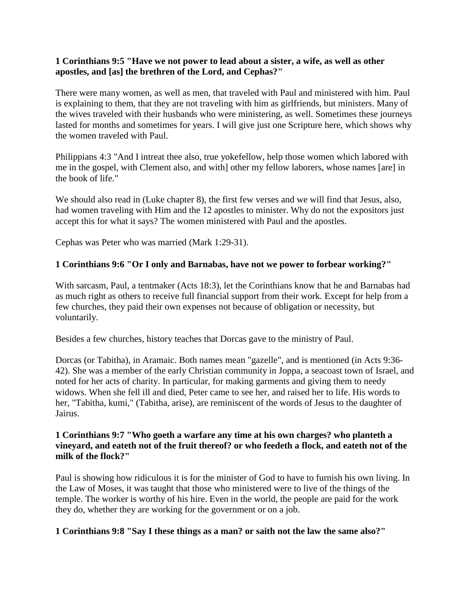#### **1 Corinthians 9:5 "Have we not power to lead about a sister, a wife, as well as other apostles, and [as] the brethren of the Lord, and Cephas?"**

There were many women, as well as men, that traveled with Paul and ministered with him. Paul is explaining to them, that they are not traveling with him as girlfriends, but ministers. Many of the wives traveled with their husbands who were ministering, as well. Sometimes these journeys lasted for months and sometimes for years. I will give just one Scripture here, which shows why the women traveled with Paul.

Philippians 4:3 "And I intreat thee also, true yokefellow, help those women which labored with me in the gospel, with Clement also, and with] other my fellow laborers, whose names [are] in the book of life."

We should also read in (Luke chapter 8), the first few verses and we will find that Jesus, also, had women traveling with Him and the 12 apostles to minister. Why do not the expositors just accept this for what it says? The women ministered with Paul and the apostles.

Cephas was Peter who was married (Mark 1:29-31).

# **1 Corinthians 9:6 "Or I only and Barnabas, have not we power to forbear working?"**

With sarcasm, Paul, a tentmaker (Acts 18:3), let the Corinthians know that he and Barnabas had as much right as others to receive full financial support from their work. Except for help from a few churches, they paid their own expenses not because of obligation or necessity, but voluntarily.

Besides a few churches, history teaches that Dorcas gave to the ministry of Paul.

Dorcas (or Tabitha), in Aramaic. Both names mean "gazelle", and is mentioned (in Acts 9:36- 42). She was a member of the early Christian community in Joppa, a seacoast town of Israel, and noted for her acts of charity. In particular, for making garments and giving them to needy widows. When she fell ill and died, Peter came to see her, and raised her to life. His words to her, "Tabitha, kumi," (Tabitha, arise), are reminiscent of the words of Jesus to the daughter of Jairus.

#### **1 Corinthians 9:7 "Who goeth a warfare any time at his own charges? who planteth a vineyard, and eateth not of the fruit thereof? or who feedeth a flock, and eateth not of the milk of the flock?"**

Paul is showing how ridiculous it is for the minister of God to have to furnish his own living. In the Law of Moses, it was taught that those who ministered were to live of the things of the temple. The worker is worthy of his hire. Even in the world, the people are paid for the work they do, whether they are working for the government or on a job.

#### **1 Corinthians 9:8 "Say I these things as a man? or saith not the law the same also?"**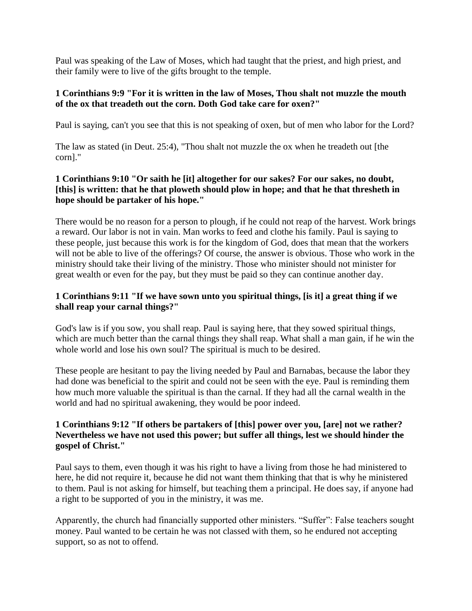Paul was speaking of the Law of Moses, which had taught that the priest, and high priest, and their family were to live of the gifts brought to the temple.

# **1 Corinthians 9:9 "For it is written in the law of Moses, Thou shalt not muzzle the mouth of the ox that treadeth out the corn. Doth God take care for oxen?"**

Paul is saying, can't you see that this is not speaking of oxen, but of men who labor for the Lord?

The law as stated (in Deut. 25:4), "Thou shalt not muzzle the ox when he treadeth out [the corn]."

# **1 Corinthians 9:10 "Or saith he [it] altogether for our sakes? For our sakes, no doubt, [this] is written: that he that ploweth should plow in hope; and that he that thresheth in hope should be partaker of his hope."**

There would be no reason for a person to plough, if he could not reap of the harvest. Work brings a reward. Our labor is not in vain. Man works to feed and clothe his family. Paul is saying to these people, just because this work is for the kingdom of God, does that mean that the workers will not be able to live of the offerings? Of course, the answer is obvious. Those who work in the ministry should take their living of the ministry. Those who minister should not minister for great wealth or even for the pay, but they must be paid so they can continue another day.

# **1 Corinthians 9:11 "If we have sown unto you spiritual things, [is it] a great thing if we shall reap your carnal things?"**

God's law is if you sow, you shall reap. Paul is saying here, that they sowed spiritual things, which are much better than the carnal things they shall reap. What shall a man gain, if he win the whole world and lose his own soul? The spiritual is much to be desired.

These people are hesitant to pay the living needed by Paul and Barnabas, because the labor they had done was beneficial to the spirit and could not be seen with the eye. Paul is reminding them how much more valuable the spiritual is than the carnal. If they had all the carnal wealth in the world and had no spiritual awakening, they would be poor indeed.

# **1 Corinthians 9:12 "If others be partakers of [this] power over you, [are] not we rather? Nevertheless we have not used this power; but suffer all things, lest we should hinder the gospel of Christ."**

Paul says to them, even though it was his right to have a living from those he had ministered to here, he did not require it, because he did not want them thinking that that is why he ministered to them. Paul is not asking for himself, but teaching them a principal. He does say, if anyone had a right to be supported of you in the ministry, it was me.

Apparently, the church had financially supported other ministers. "Suffer": False teachers sought money. Paul wanted to be certain he was not classed with them, so he endured not accepting support, so as not to offend.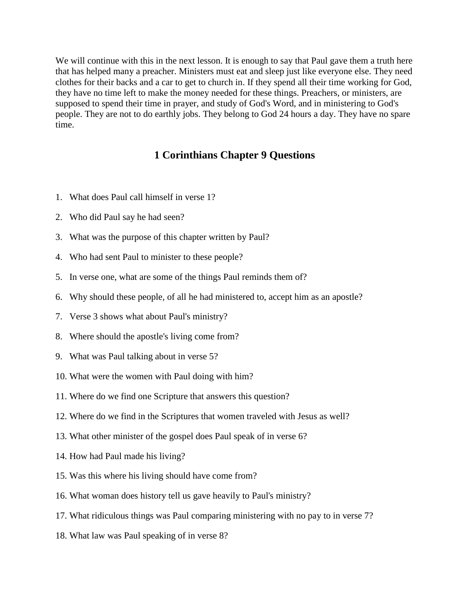We will continue with this in the next lesson. It is enough to say that Paul gave them a truth here that has helped many a preacher. Ministers must eat and sleep just like everyone else. They need clothes for their backs and a car to get to church in. If they spend all their time working for God, they have no time left to make the money needed for these things. Preachers, or ministers, are supposed to spend their time in prayer, and study of God's Word, and in ministering to God's people. They are not to do earthly jobs. They belong to God 24 hours a day. They have no spare time.

# **1 Corinthians Chapter 9 Questions**

- 1. What does Paul call himself in verse 1?
- 2. Who did Paul say he had seen?
- 3. What was the purpose of this chapter written by Paul?
- 4. Who had sent Paul to minister to these people?
- 5. In verse one, what are some of the things Paul reminds them of?
- 6. Why should these people, of all he had ministered to, accept him as an apostle?
- 7. Verse 3 shows what about Paul's ministry?
- 8. Where should the apostle's living come from?
- 9. What was Paul talking about in verse 5?
- 10. What were the women with Paul doing with him?
- 11. Where do we find one Scripture that answers this question?
- 12. Where do we find in the Scriptures that women traveled with Jesus as well?
- 13. What other minister of the gospel does Paul speak of in verse 6?
- 14. How had Paul made his living?
- 15. Was this where his living should have come from?
- 16. What woman does history tell us gave heavily to Paul's ministry?
- 17. What ridiculous things was Paul comparing ministering with no pay to in verse 7?
- 18. What law was Paul speaking of in verse 8?